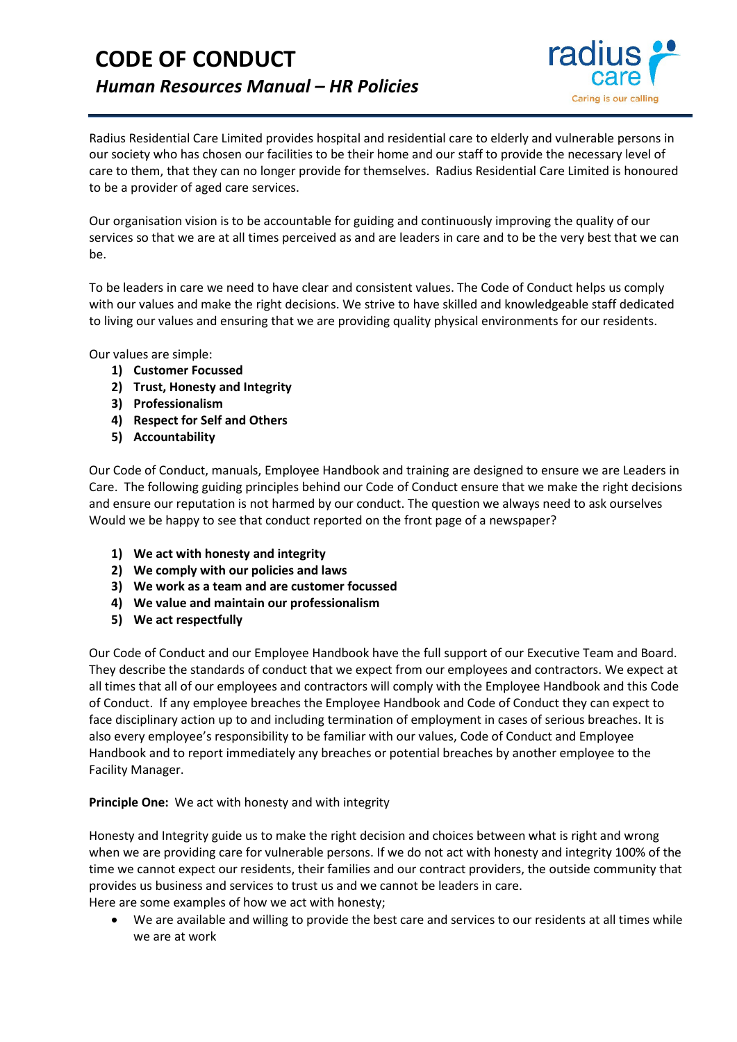# **CODE OF CONDUCT** *Human Resources Manual – HR Policies*



Radius Residential Care Limited provides hospital and residential care to elderly and vulnerable persons in our society who has chosen our facilities to be their home and our staff to provide the necessary level of care to them, that they can no longer provide for themselves. Radius Residential Care Limited is honoured to be a provider of aged care services.

Our organisation vision is to be accountable for guiding and continuously improving the quality of our services so that we are at all times perceived as and are leaders in care and to be the very best that we can be.

To be leaders in care we need to have clear and consistent values. The Code of Conduct helps us comply with our values and make the right decisions. We strive to have skilled and knowledgeable staff dedicated to living our values and ensuring that we are providing quality physical environments for our residents.

Our values are simple:

- **1) Customer Focussed**
- **2) Trust, Honesty and Integrity**
- **3) Professionalism**
- **4) Respect for Self and Others**
- **5) Accountability**

Our Code of Conduct, manuals, Employee Handbook and training are designed to ensure we are Leaders in Care. The following guiding principles behind our Code of Conduct ensure that we make the right decisions and ensure our reputation is not harmed by our conduct. The question we always need to ask ourselves Would we be happy to see that conduct reported on the front page of a newspaper?

- **1) We act with honesty and integrity**
- **2) We comply with our policies and laws**
- **3) We work as a team and are customer focussed**
- **4) We value and maintain our professionalism**
- **5) We act respectfully**

Our Code of Conduct and our Employee Handbook have the full support of our Executive Team and Board. They describe the standards of conduct that we expect from our employees and contractors. We expect at all times that all of our employees and contractors will comply with the Employee Handbook and this Code of Conduct. If any employee breaches the Employee Handbook and Code of Conduct they can expect to face disciplinary action up to and including termination of employment in cases of serious breaches. It is also every employee's responsibility to be familiar with our values, Code of Conduct and Employee Handbook and to report immediately any breaches or potential breaches by another employee to the Facility Manager.

#### **Principle One:** We act with honesty and with integrity

Honesty and Integrity guide us to make the right decision and choices between what is right and wrong when we are providing care for vulnerable persons. If we do not act with honesty and integrity 100% of the time we cannot expect our residents, their families and our contract providers, the outside community that provides us business and services to trust us and we cannot be leaders in care.

Here are some examples of how we act with honesty;

• We are available and willing to provide the best care and services to our residents at all times while we are at work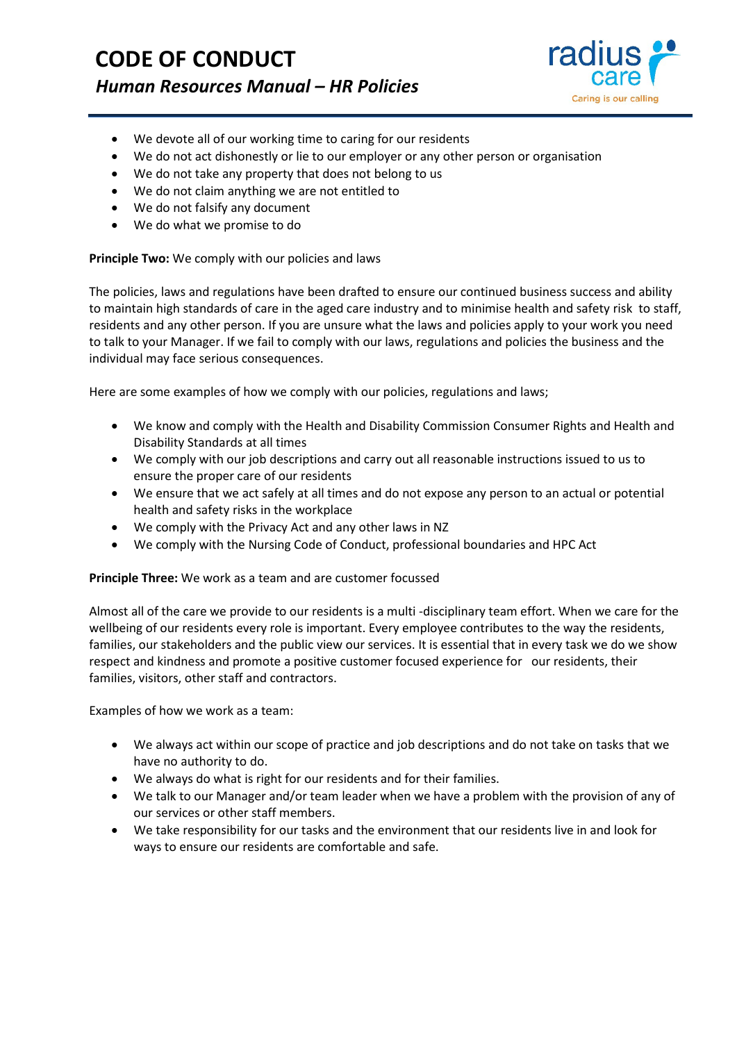# **CODE OF CONDUCT** *Human Resources Manual – HR Policies*



- We devote all of our working time to caring for our residents
- We do not act dishonestly or lie to our employer or any other person or organisation
- We do not take any property that does not belong to us
- We do not claim anything we are not entitled to
- We do not falsify any document
- We do what we promise to do

### **Principle Two:** We comply with our policies and laws

The policies, laws and regulations have been drafted to ensure our continued business success and ability to maintain high standards of care in the aged care industry and to minimise health and safety risk to staff, residents and any other person. If you are unsure what the laws and policies apply to your work you need to talk to your Manager. If we fail to comply with our laws, regulations and policies the business and the individual may face serious consequences.

Here are some examples of how we comply with our policies, regulations and laws;

- We know and comply with the Health and Disability Commission Consumer Rights and Health and Disability Standards at all times
- We comply with our job descriptions and carry out all reasonable instructions issued to us to ensure the proper care of our residents
- We ensure that we act safely at all times and do not expose any person to an actual or potential health and safety risks in the workplace
- We comply with the Privacy Act and any other laws in NZ
- We comply with the Nursing Code of Conduct, professional boundaries and HPC Act

### **Principle Three:** We work as a team and are customer focussed

Almost all of the care we provide to our residents is a multi -disciplinary team effort. When we care for the wellbeing of our residents every role is important. Every employee contributes to the way the residents, families, our stakeholders and the public view our services. It is essential that in every task we do we show respect and kindness and promote a positive customer focused experience for our residents, their families, visitors, other staff and contractors.

Examples of how we work as a team:

- We always act within our scope of practice and job descriptions and do not take on tasks that we have no authority to do.
- We always do what is right for our residents and for their families.
- We talk to our Manager and/or team leader when we have a problem with the provision of any of our services or other staff members.
- We take responsibility for our tasks and the environment that our residents live in and look for ways to ensure our residents are comfortable and safe.